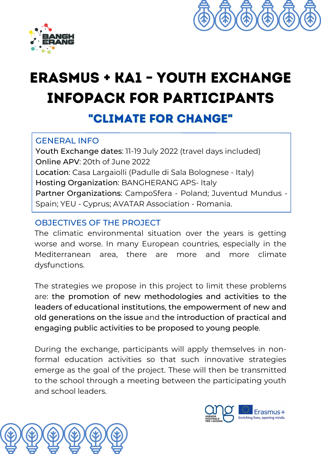



# Erasmus + KA1 – YOUTH EXCHANGE Infopack for participants "CLIMATE FOR CHANGE"

### GENERAL INFO

Youth Exchange dates: 11-19 July 2022 (travel days included) Online APV: 20th of June 2022 Location: Casa Largaiolli (Padulle di Sala Bolognese - Italy) Hosting Organization: BANGHERANG APS- Italy Partner Organizations: CampoSfera - Poland; Juventud Mundus - Spain; YEU - Cyprus; AVATAR Association - Romania.

## OBJECTIVES OF THE PROJECT

The climatic environmental situation over the years is getting worse and worse. In many European countries, especially in the Mediterranean area, there are more and more climate dysfunctions.

The strategies we propose in this project to limit these problems are: the promotion of new methodologies and activities to the leaders of educational institutions, the empowerment of new and old generations on the issue and the introduction of practical and engaging public activities to be proposed to young people.

During the exchange, participants will apply themselves in nonformal education activities so that such innovative strategies emerge as the goal of the project. These will then be transmitted to the school through a meeting between the participating youth and school leaders.

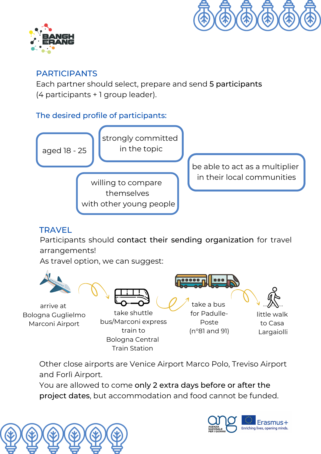



#### PARTICIPANTS

Each partner should select, prepare and send 5 participants (4 participants + 1 group leader).

#### The desired profile of participants:



## **TRAVEL**

Participants should contact their sending organization for travel arrangements!

As travel option, we can suggest:



Other close airports are Venice Airport Marco Polo, Treviso Airport and Forlì Airport.

Train Station

You are allowed to come only 2 extra days before or after the project dates, but accommodation and food cannot be funded.



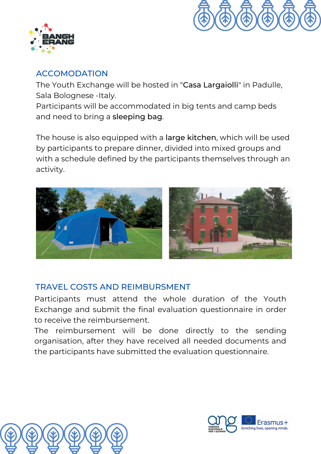



#### ACCOMODATION

The Youth Exchange will be hosted in "Casa Largaiolli" in Padulle, Sala Bolognese -Italy.

Participants will be accommodated in big tents and camp beds and need to bring a sleeping bag.

The house is also equipped with a large kitchen, which will be used by participants to prepare dinner, divided into mixed groups and with a schedule defined by the participants themselves through an activity.



## TRAVEL COSTS AND REIMBURSMENT

Participants must attend the whole duration of the Youth Exchange and submit the final evaluation questionnaire in order to receive the reimbursement.

The reimbursement will be done directly to the sending organisation, after they have received all needed documents and the participants have submitted the evaluation questionnaire.